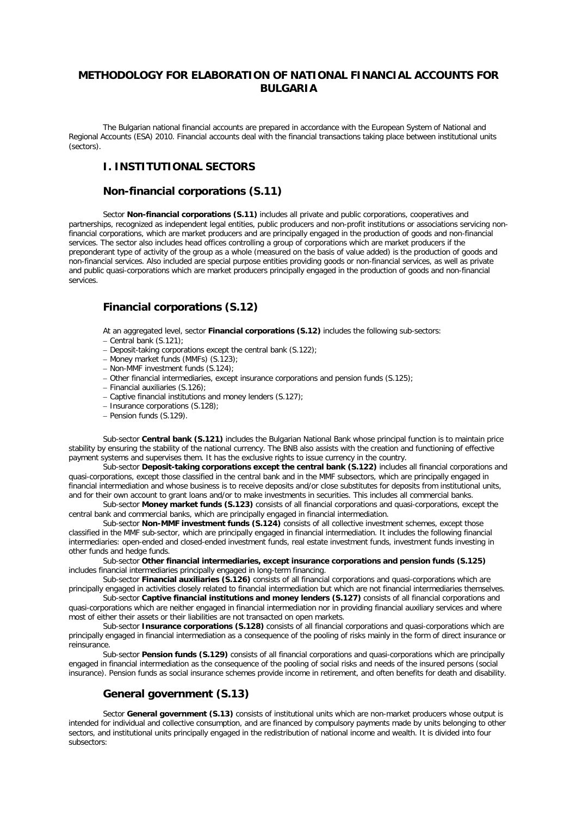# **METHODOLOGY FOR ELABORATION OF NATIONAL FINANCIAL ACCOUNTS FOR BULGARIA**

The Bulgarian national financial accounts are prepared in accordance with the European System of National and Regional Accounts (ESA) 2010. Financial accounts deal with the financial transactions taking place between institutional units (sectors).

# **I. INSTITUTIONAL SECTORS**

#### **Non-financial corporations (S.11)**

Sector **Non-financial corporations (S.11)** includes all private and public corporations, cooperatives and partnerships, recognized as independent legal entities, public producers and non-profit institutions or associations servicing nonfinancial corporations, which are market producers and are principally engaged in the production of goods and non-financial services. The sector also includes head offices controlling a group of corporations which are market producers if the preponderant type of activity of the group as a whole (measured on the basis of value added) is the production of goods and non-financial services. Also included are special purpose entities providing goods or non-financial services, as well as private and public quasi-corporations which are market producers principally engaged in the production of goods and non-financial services.

### **Financial corporations (S.12)**

At an aggregated level, sector **Financial corporations (S.12)** includes the following sub-sectors:

- − Central bank (S.121);
- − Deposit-taking corporations except the central bank (S.122);
- − Money market funds (MMFs) (S.123);
- − Non-MMF investment funds (S.124);
- − Other financial intermediaries, except insurance corporations and pension funds (S.125);
- − Financial auxiliaries (S.126);
- − Captive financial institutions and money lenders (S.127);
- − Insurance corporations (S.128);
- − Pension funds (S.129).

Sub-sector **Central bank (S.121)** includes the Bulgarian National Bank whose principal function is to maintain price stability by ensuring the stability of the national currency. The BNB also assists with the creation and functioning of effective payment systems and supervises them. It has the exclusive rights to issue currency in the country.

Sub-sector **Deposit-taking corporations except the central bank (S.122)** includes all financial corporations and quasi-corporations, except those classified in the central bank and in the MMF subsectors, which are principally engaged in financial intermediation and whose business is to receive deposits and/or close substitutes for deposits from institutional units, and for their own account to grant loans and/or to make investments in securities. This includes all commercial banks.

Sub-sector **Money market funds (S.123)** consists of all financial corporations and quasi-corporations, except the central bank and commercial banks, which are principally engaged in financial intermediation.

Sub-sector **Non-MMF investment funds (S.124)** consists of all collective investment schemes, except those classified in the MMF sub-sector, which are principally engaged in financial intermediation. It includes the following financial intermediaries: open-ended and closed-ended investment funds, real estate investment funds, investment funds investing in other funds and hedge funds.

Sub-sector **Other financial intermediaries, except insurance corporations and pension funds (S.125)** includes financial intermediaries principally engaged in long-term financing.

Sub-sector **Financial auxiliaries (S.126)** consists of all financial corporations and quasi-corporations which are principally engaged in activities closely related to financial intermediation but which are not financial intermediaries themselves.

Sub-sector **Captive financial institutions and money lenders (S.127)** consists of all financial corporations and quasi-corporations which are neither engaged in financial intermediation nor in providing financial auxiliary services and where most of either their assets or their liabilities are not transacted on open markets.

Sub-sector **Insurance corporations (S.128)** consists of all financial corporations and quasi-corporations which are principally engaged in financial intermediation as a consequence of the pooling of risks mainly in the form of direct insurance or reinsurance.

Sub-sector **Pension funds (S.129)** consists of all financial corporations and quasi-corporations which are principally engaged in financial intermediation as the consequence of the pooling of social risks and needs of the insured persons (social insurance). Pension funds as social insurance schemes provide income in retirement, and often benefits for death and disability.

#### **General government (S.13)**

Sector **General government (S.13)** consists of institutional units which are non-market producers whose output is intended for individual and collective consumption, and are financed by compulsory payments made by units belonging to other sectors, and institutional units principally engaged in the redistribution of national income and wealth. It is divided into four subsectors: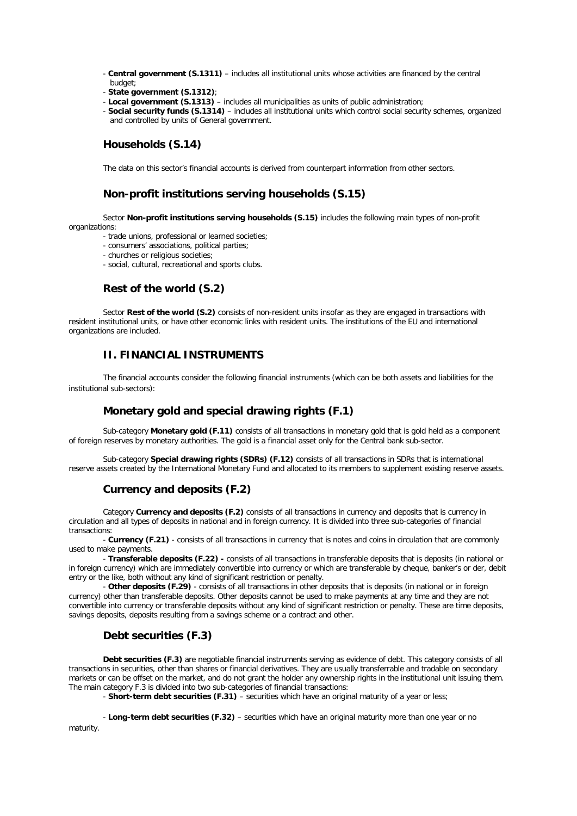- **Central government (S.1311)** includes all institutional units whose activities are financed by the central budget:
- **State government (S.1312)**;
- **Local government (S.1313)** includes all municipalities as units of public administration;
- **Social security funds (S.1314)** includes all institutional units which control social security schemes, organized and controlled by units of General government.

## **Households (S.14)**

The data on this sector's financial accounts is derived from counterpart information from other sectors.

## **Non-profit institutions serving households (S.15)**

Sector **Non-profit institutions serving households (S.15)** includes the following main types of non-profit organizations:

- trade unions, professional or learned societies;
- consumers' associations, political parties;
- churches or religious societies;
- social, cultural, recreational and sports clubs.

## **Rest of the world (S.2)**

Sector **Rest of the world (S.2)** consists of non-resident units insofar as they are engaged in transactions with resident institutional units, or have other economic links with resident units. The institutions of the EU and international organizations are included.

# **II. FINANCIAL INSTRUMENTS**

The financial accounts consider the following financial instruments (which can be both assets and liabilities for the institutional sub-sectors):

## **Monetary gold and special drawing rights (F.1)**

Sub-category **Monetary gold (F.11)** consists of all transactions in monetary gold that is gold held as a component of foreign reserves by monetary authorities. The gold is a financial asset only for the Central bank sub-sector.

Sub-category **Special drawing rights (SDRs) (F.12)** consists of all transactions in SDRs that is international reserve assets created by the International Monetary Fund and allocated to its members to supplement existing reserve assets.

### **Currency and deposits (F.2)**

Category **Currency and deposits (F.2)** consists of all transactions in currency and deposits that is currency in circulation and all types of deposits in national and in foreign currency. It is divided into three sub-categories of financial transactions:

- **Currency (F.21)** - consists of all transactions in currency that is notes and coins in circulation that are commonly used to make payments.

- **Transferable deposits (F.22) -** consists of all transactions in transferable deposits that is deposits (in national or in foreign currency) which are immediately convertible into currency or which are transferable by cheque, banker's or der, debit entry or the like, both without any kind of significant restriction or penalty.

- **Other deposits (F.29)** - consists of all transactions in other deposits that is deposits (in national or in foreign currency) other than transferable deposits. Other deposits cannot be used to make payments at any time and they are not convertible into currency or transferable deposits without any kind of significant restriction or penalty. These are time deposits, savings deposits, deposits resulting from a savings scheme or a contract and other.

# **Debt securities (F.3)**

**Debt securities (F.3)** are negotiable financial instruments serving as evidence of debt. This category consists of all transactions in securities, other than shares or financial derivatives. They are usually transferrable and tradable on secondary markets or can be offset on the market, and do not grant the holder any ownership rights in the institutional unit issuing them. The main category F.3 is divided into two sub-categories of financial transactions:

- **Short-term debt securities (F.31)** – securities which have an original maturity of a year or less;

- **Long-term debt securities (F.32)** – securities which have an original maturity more than one year or no maturity.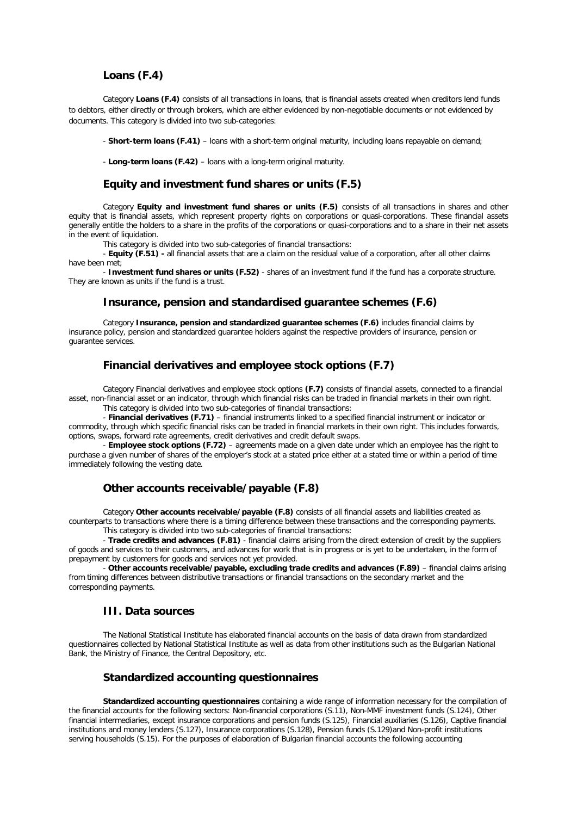#### **Loans (F.4)**

Category **Loans (F.4)** consists of all transactions in loans, that is financial assets created when creditors lend funds to debtors, either directly or through brokers, which are either evidenced by non-negotiable documents or not evidenced by documents. This category is divided into two sub-categories:

- **Short-term loans (F.41)** – loans with a short-term original maturity, including loans repayable on demand;

- **Long-term loans (F.42)** – loans with a long-term original maturity.

#### **Equity and investment fund shares or units (F.5)**

Category **Equity and investment fund shares or units (F.5)** consists of all transactions in shares and other equity that is financial assets, which represent property rights on corporations or quasi-corporations. These financial assets generally entitle the holders to a share in the profits of the corporations or quasi-corporations and to a share in their net assets in the event of liquidation.

This category is divided into two sub-categories of financial transactions:

- **Equity (F.51) -** all financial assets that are a claim on the residual value of a corporation, after all other claims have been met;

- **Investment fund shares or units (F.52)** - shares of an investment fund if the fund has a corporate structure. They are known as units if the fund is a trust.

#### **Insurance, pension and standardised guarantee schemes (F.6)**

Category **Insurance, pension and standardized guarantee schemes (F.6)** includes financial claims by insurance policy, pension and standardized guarantee holders against the respective providers of insurance, pension or guarantee services.

# **Financial derivatives and employee stock options (F.7)**

Category Financial derivatives and employee stock options **(F.7)** consists of financial assets, connected to a financial asset, non-financial asset or an indicator, through which financial risks can be traded in financial markets in their own right.

This category is divided into two sub-categories of financial transactions:

- **Financial derivatives (F.71)** – financial instruments linked to a specified financial instrument or indicator or commodity, through which specific financial risks can be traded in financial markets in their own right. This includes forwards, options, swaps, forward rate agreements, credit derivatives and credit default swaps.

- **Employee stock options (F.72)** – agreements made on a given date under which an employee has the right to purchase a given number of shares of the employer's stock at a stated price either at a stated time or within a period of time immediately following the vesting date.

#### **Other accounts receivable/payable (F.8)**

Category **Other accounts receivable/payable (F.8)** consists of all financial assets and liabilities created as counterparts to transactions where there is a timing difference between these transactions and the corresponding payments.

This category is divided into two sub-categories of financial transactions:

- **Trade credits and advances (F.81)** - financial claims arising from the direct extension of credit by the suppliers of goods and services to their customers, and advances for work that is in progress or is yet to be undertaken, in the form of prepayment by customers for goods and services not yet provided.

- **Other accounts receivable/payable, excluding trade credits and advances (F.89)** – financial claims arising from timing differences between distributive transactions or financial transactions on the secondary market and the corresponding payments.

### **III. Data sources**

The National Statistical Institute has elaborated financial accounts on the basis of data drawn from standardized questionnaires collected by National Statistical Institute as well as data from other institutions such as the Bulgarian National Bank, the Ministry of Finance, the Central Depository, etc.

#### **Standardized accounting questionnaires**

**Standardized accounting questionnaires** containing a wide range of information necessary for the compilation of the financial accounts for the following sectors: Non-financial corporations (S.11), Non-MMF investment funds (S.124), Other financial intermediaries, except insurance corporations and pension funds (S.125), Financial auxiliaries (S.126), Captive financial institutions and money lenders (S.127), Insurance corporations (S.128), Pension funds (S.129)and Non-profit institutions serving households (S.15). For the purposes of elaboration of Bulgarian financial accounts the following accounting